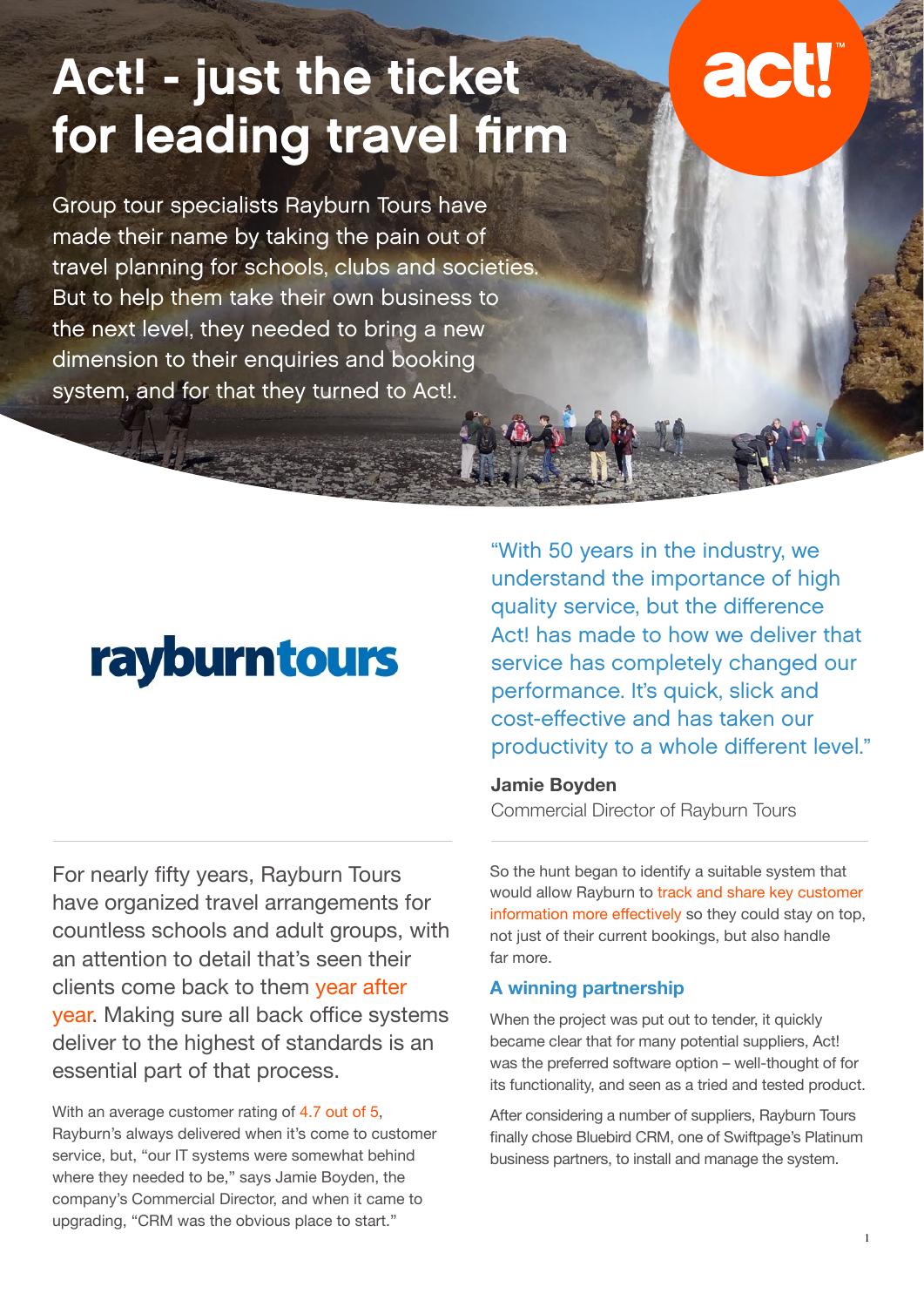# Act! - just the ticket for leading travel firm

# act!

Group tour specialists Rayburn Tours have made their name by taking the pain out of travel planning for schools, clubs and societies. But to help them take their own business to the next level, they needed to bring a new dimension to their enquiries and booking system, and for that they turned to Act!.

## rayburntours

For nearly fifty years, Rayburn Tours have organized travel arrangements for countless schools and adult groups, with an attention to detail that's seen their clients come back to them year after year. Making sure all back office systems deliver to the highest of standards is an essential part of that process.

With an average customer rating of 4.7 out of 5, Rayburn's always delivered when it's come to customer service, but, "our IT systems were somewhat behind where they needed to be," says Jamie Boyden, the company's Commercial Director, and when it came to upgrading, "CRM was the obvious place to start."

"With 50 years in the industry, we understand the importance of high quality service, but the difference Act! has made to how we deliver that service has completely changed our performance. It's quick, slick and cost-effective and has taken our productivity to a whole different level."

#### **Jamie Boyden**

Commercial Director of Rayburn Tours

So the hunt began to identify a suitable system that would allow Rayburn to track and share key customer information more effectively so they could stay on top, not just of their current bookings, but also handle far more.

#### **A winning partnership**

When the project was put out to tender, it quickly became clear that for many potential suppliers, Act! was the preferred software option – well-thought of for its functionality, and seen as a tried and tested product.

After considering a number of suppliers, Rayburn Tours finally chose Bluebird CRM, one of Swiftpage's Platinum business partners, to install and manage the system.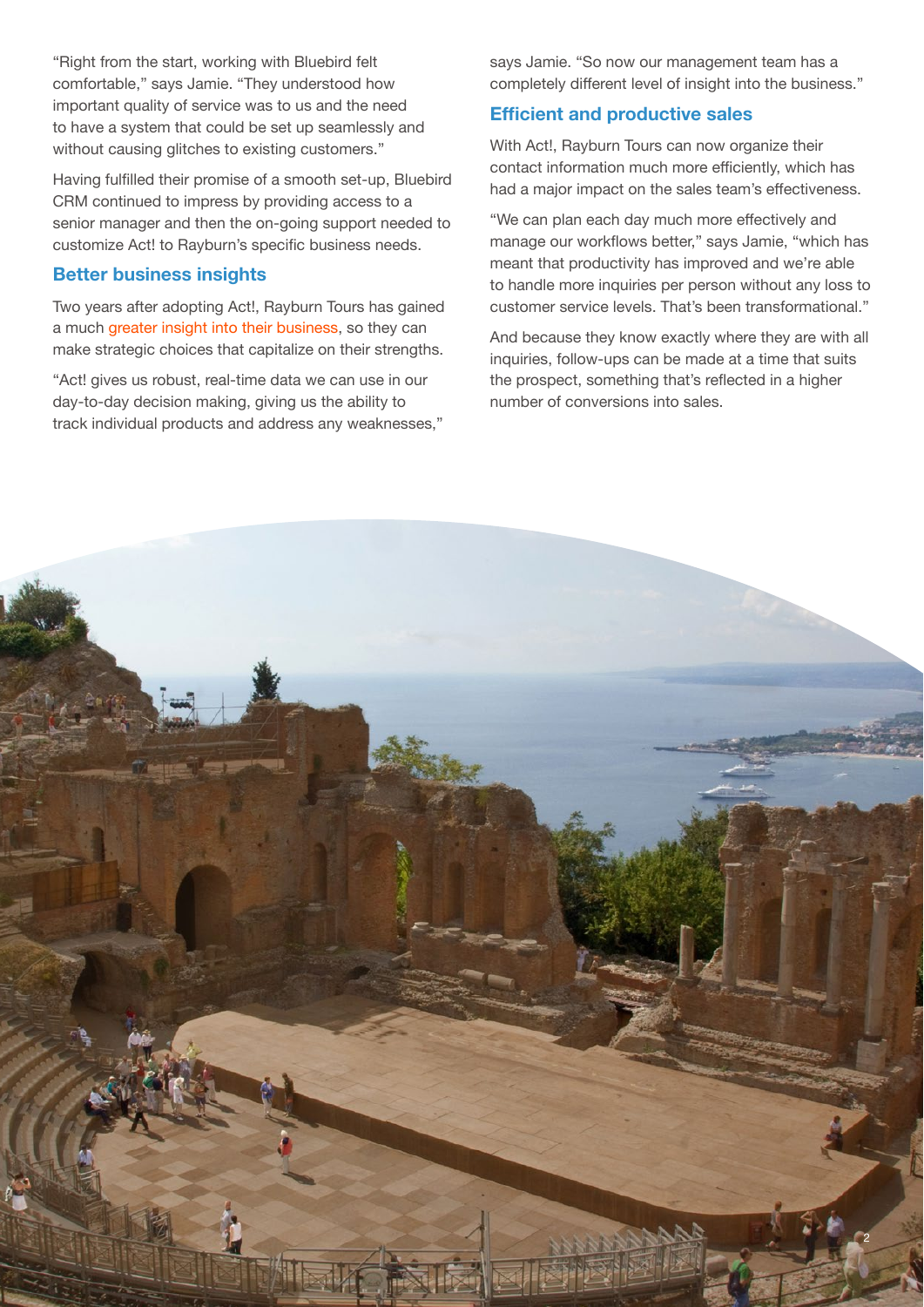"Right from the start, working with Bluebird felt comfortable," says Jamie. "They understood how important quality of service was to us and the need to have a system that could be set up seamlessly and without causing glitches to existing customers."

Having fulfilled their promise of a smooth set-up, Bluebird CRM continued to impress by providing access to a senior manager and then the on-going support needed to customize Act! to Rayburn's specific business needs.

#### **Better business insights**

Two years after adopting Act!, Rayburn Tours has gained a much greater insight into their business, so they can make strategic choices that capitalize on their strengths.

"Act! gives us robust, real-time data we can use in our day-to-day decision making, giving us the ability to track individual products and address any weaknesses," says Jamie. "So now our management team has a completely different level of insight into the business."

#### **Efficient and productive sales**

With Act!, Rayburn Tours can now organize their contact information much more efficiently, which has had a major impact on the sales team's effectiveness.

"We can plan each day much more effectively and manage our workflows better," says Jamie, "which has meant that productivity has improved and we're able to handle more inquiries per person without any loss to customer service levels. That's been transformational."

And because they know exactly where they are with all inquiries, follow-ups can be made at a time that suits the prospect, something that's reflected in a higher number of conversions into sales.